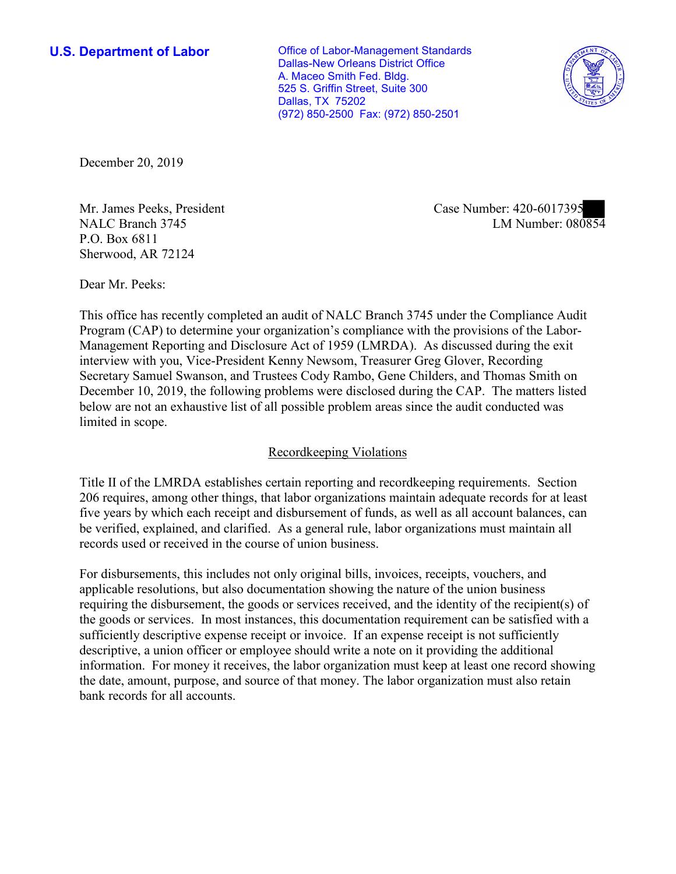**U.S. Department of Labor Conservative Conservative Conservative U.S. Department of Labor** Dallas-New Orleans District Office A. Maceo Smith Fed. Bldg. 525 S. Griffin Street, Suite 300 Dallas, TX 75202 (972) 850-2500 Fax: (972) 850-2501



December 20, 2019

P.O. Box 6811 Sherwood, AR 72124

NIT. James Peeks, President<br>
NALC Branch 3745 LM Number: 080854 Mr. James Peeks, President Case Number: 420-6017395

Dear Mr. Peeks:

 This office has recently completed an audit of NALC Branch 3745 under the Compliance Audit Program (CAP) to determine your organization's compliance with the provisions of the Labor-Management Reporting and Disclosure Act of 1959 (LMRDA). As discussed during the exit interview with you, Vice-President Kenny Newsom, Treasurer Greg Glover, Recording Secretary Samuel Swanson, and Trustees Cody Rambo, Gene Childers, and Thomas Smith on December 10, 2019, the following problems were disclosed during the CAP. The matters listed below are not an exhaustive list of all possible problem areas since the audit conducted was limited in scope.

# Recordkeeping Violations

 Title II of the LMRDA establishes certain reporting and recordkeeping requirements. Section 206 requires, among other things, that labor organizations maintain adequate records for at least five years by which each receipt and disbursement of funds, as well as all account balances, can be verified, explained, and clarified. As a general rule, labor organizations must maintain all records used or received in the course of union business.

For disbursements, this includes not only original bills, invoices, receipts, vouchers, and applicable resolutions, but also documentation showing the nature of the union business requiring the disbursement, the goods or services received, and the identity of the recipient(s) of the goods or services. In most instances, this documentation requirement can be satisfied with a sufficiently descriptive expense receipt or invoice. If an expense receipt is not sufficiently descriptive, a union officer or employee should write a note on it providing the additional information. For money it receives, the labor organization must keep at least one record showing the date, amount, purpose, and source of that money. The labor organization must also retain bank records for all accounts.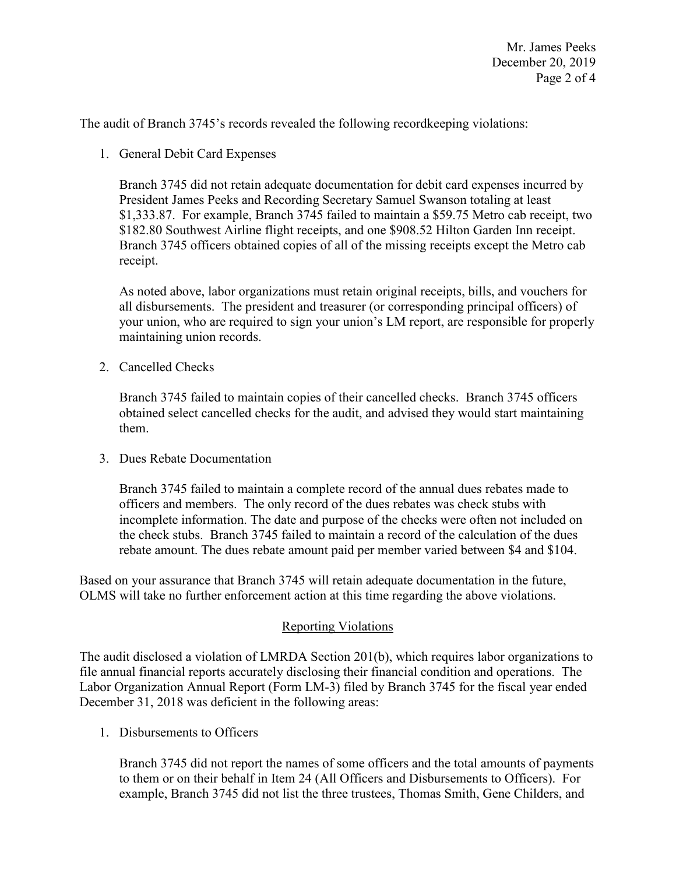The audit of Branch 3745's records revealed the following recordkeeping violations:

1. General Debit Card Expenses

 Branch 3745 officers obtained copies of all of the missing receipts except the Metro cab Branch 3745 did not retain adequate documentation for debit card expenses incurred by President James Peeks and Recording Secretary Samuel Swanson totaling at least [\\$1,333.87](https://1,333.87). For example, Branch 3745 failed to maintain a \$59.75 Metro cab receipt, two \$182.80 Southwest Airline flight receipts, and one \$908.52 Hilton Garden Inn receipt. receipt.

 all disbursements. The president and treasurer (or corresponding principal officers) of As noted above, labor organizations must retain original receipts, bills, and vouchers for your union, who are required to sign your union's LM report, are responsible for properly maintaining union records.

2. Cancelled Checks

Branch 3745 failed to maintain copies of their cancelled checks. Branch 3745 officers obtained select cancelled checks for the audit, and advised they would start maintaining them.

3. Dues Rebate Documentation

 rebate amount. The dues rebate amount paid per member varied between \$4 and \$104. Branch 3745 failed to maintain a complete record of the annual dues rebates made to officers and members. The only record of the dues rebates was check stubs with incomplete information. The date and purpose of the checks were often not included on the check stubs. Branch 3745 failed to maintain a record of the calculation of the dues

Based on your assurance that Branch 3745 will retain adequate documentation in the future, OLMS will take no further enforcement action at this time regarding the above violations.

# Reporting Violations

 Labor Organization Annual Report (Form LM-3) filed by Branch 3745 for the fiscal year ended The audit disclosed a violation of LMRDA Section 201(b), which requires labor organizations to file annual financial reports accurately disclosing their financial condition and operations. The December 31, 2018 was deficient in the following areas:

1. Disbursements to Officers

Branch 3745 did not report the names of some officers and the total amounts of payments to them or on their behalf in Item 24 (All Officers and Disbursements to Officers). For example, Branch 3745 did not list the three trustees, Thomas Smith, Gene Childers, and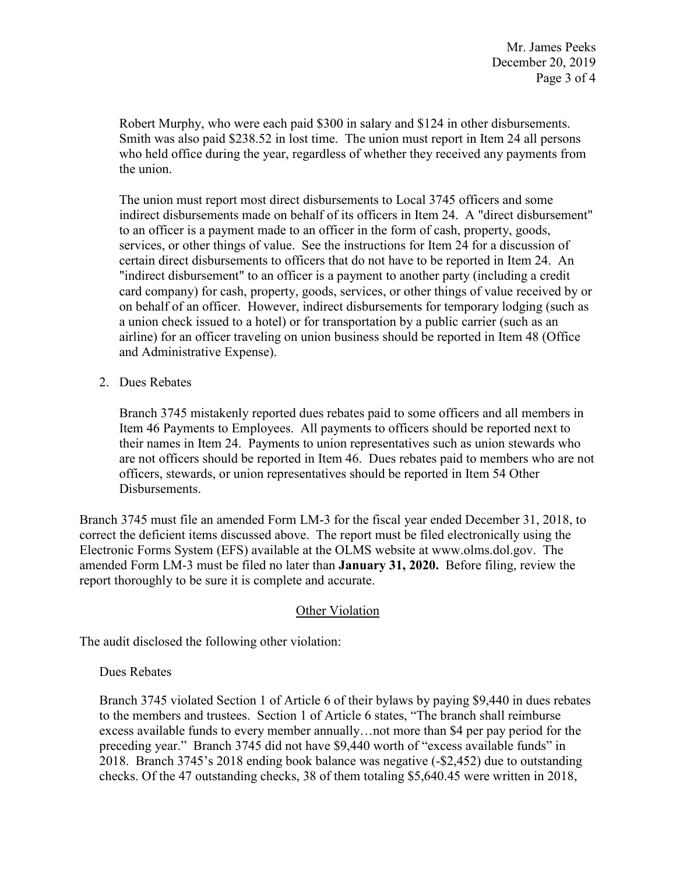Robert Murphy, who were each paid \$300 in salary and \$124 in other disbursements. Smith was also paid \$238.52 in lost time. The union must report in Item 24 all persons who held office during the year, regardless of whether they received any payments from the union.

 services, or other things of value. See the instructions for Item 24 for a discussion of "indirect disbursement" to an officer is a payment to another party (including a credit a union check issued to a hotel) or for transportation by a public carrier (such as an The union must report most direct disbursements to Local 3745 officers and some indirect disbursements made on behalf of its officers in Item 24. A "direct disbursement" to an officer is a payment made to an officer in the form of cash, property, goods, certain direct disbursements to officers that do not have to be reported in Item 24. An card company) for cash, property, goods, services, or other things of value received by or on behalf of an officer. However, indirect disbursements for temporary lodging (such as airline) for an officer traveling on union business should be reported in Item 48 (Office and Administrative Expense).

2. Dues Rebates

Branch 3745 mistakenly reported dues rebates paid to some officers and all members in Item 46 Payments to Employees. All payments to officers should be reported next to their names in Item 24. Payments to union representatives such as union stewards who are not officers should be reported in Item 46. Dues rebates paid to members who are not officers, stewards, or union representatives should be reported in Item 54 Other Disbursements.

 Branch 3745 must file an amended Form LM-3 for the fiscal year ended December 31, 2018, to amended Form LM-3 must be filed no later than **January 31, 2020.** Before filing, review the report thoroughly to be sure it is complete and accurate.<br>Other Violation correct the deficient items discussed above. The report must be filed electronically using the Electronic Forms System (EFS) available at the OLMS website at [www.olms.dol.gov.](www.olms.dol.gov) The

The audit disclosed the following other violation:

### Dues Rebates

Branch 3745 violated Section 1 of Article 6 of their bylaws by paying \$9,440 in dues rebates to the members and trustees. Section 1 of Article 6 states, "The branch shall reimburse excess available funds to every member annually…not more than \$4 per pay period for the preceding year." Branch 3745 did not have \$9,440 worth of "excess available funds" in 2018. Branch 3745's 2018 ending book balance was negative (-\$2,452) due to outstanding checks. Of the 47 outstanding checks, 38 of them totaling [\\$5,640.45](https://5,640.45) were written in 2018,